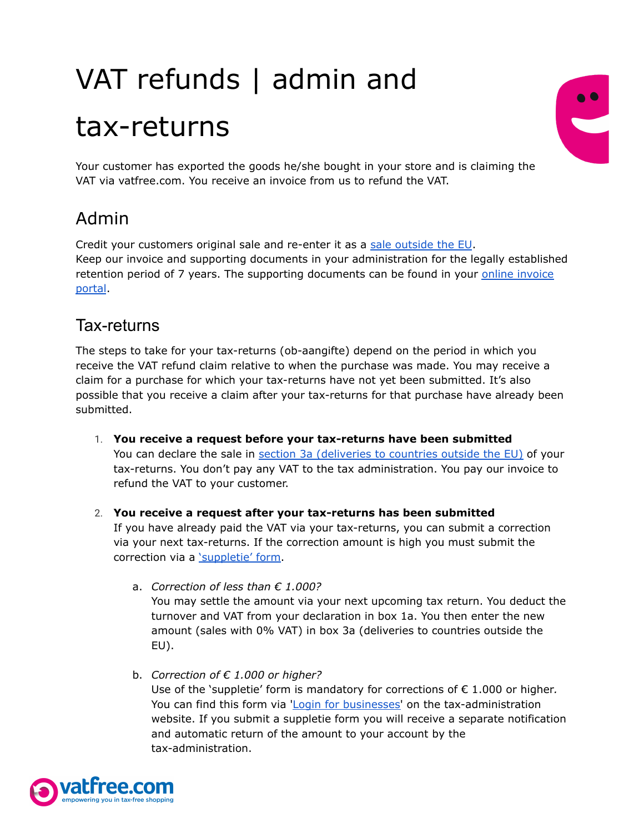## VAT refunds | admin and tax-returns



Your customer has exported the goods he/she bought in your store and is claiming the VAT via vatfree.com. You receive an invoice from us to refund the VAT.

## Admin

Credit your customers original sale and re-enter it as a sale [outside](https://www.belastingdienst.nl/wps/wcm/connect/bldcontentnl/belastingdienst/zakelijk/btw/zakendoen_met_het_buitenland/zakendoen_buiten_de_eu/aangifte_doen_als_u_zakendoet_buiten_de_eu/aangifte_en_als_u_goederen_uitvoert_naar_niet_eu_landen) the EU. Keep our invoice and supporting documents in your administration for the legally established retention period of 7 years. The supporting documents can be found in your online [invoice](https://traveller.vatfree.com/faq/embed/8Q7PrW8SoN357fi7x/Where-can-I-find-my-invoice-#faq_8Q7PrW8SoN357fi7x) [portal](https://traveller.vatfree.com/faq/embed/8Q7PrW8SoN357fi7x/Where-can-I-find-my-invoice-#faq_8Q7PrW8SoN357fi7x).

## Tax-returns

The steps to take for your tax-returns (ob-aangifte) depend on the period in which you receive the VAT refund claim relative to when the purchase was made. You may receive a claim for a purchase for which your tax-returns have not yet been submitted. It's also possible that you receive a claim after your tax-returns for that purchase have already been submitted.

- 1. **You receive a request before your tax-returns have been submitted** You can declare the sale in section 3a [\(deliveries](https://www.belastingdienst.nl/wps/wcm/connect/bldcontentnl/belastingdienst/zakelijk/btw/zakendoen_met_het_buitenland/zakendoen_buiten_de_eu/aangifte_doen_als_u_zakendoet_buiten_de_eu/aangifte_en_als_u_goederen_uitvoert_naar_niet_eu_landen) to countries outside the EU) of your tax-returns. You don't pay any VAT to the tax administration. You pay our invoice to refund the VAT to your customer.
- 2. **You receive a request after your tax-returns has been submitted** If you have already paid the VAT via your tax-returns, you can submit a correction via your next tax-returns. If the correction amount is high you must submit the correction via a ['suppletie'](https://download.belastingdienst.nl/belastingdienst/docs/toelichting_suppletie_omzetbelasting_ob1431t16pl.pdf) form.
	- a. *Correction of less than € 1.000?* You may settle the amount via your next upcoming tax return. You deduct the turnover and VAT from your declaration in box 1a. You then enter the new amount (sales with 0% VAT) in box 3a (deliveries to countries outside the EU).
	- b. *Correction of € 1.000 or higher?* Use of the 'suppletie' form is mandatory for corrections of € 1.000 or higher*.* You can find this form via 'Login for [businesses](https://mijn.belastingdienst.nl/ppa/)' on the tax-administration website. If you submit a suppletie form you will receive a separate notification and automatic return of the amount to your account by the tax-administration.